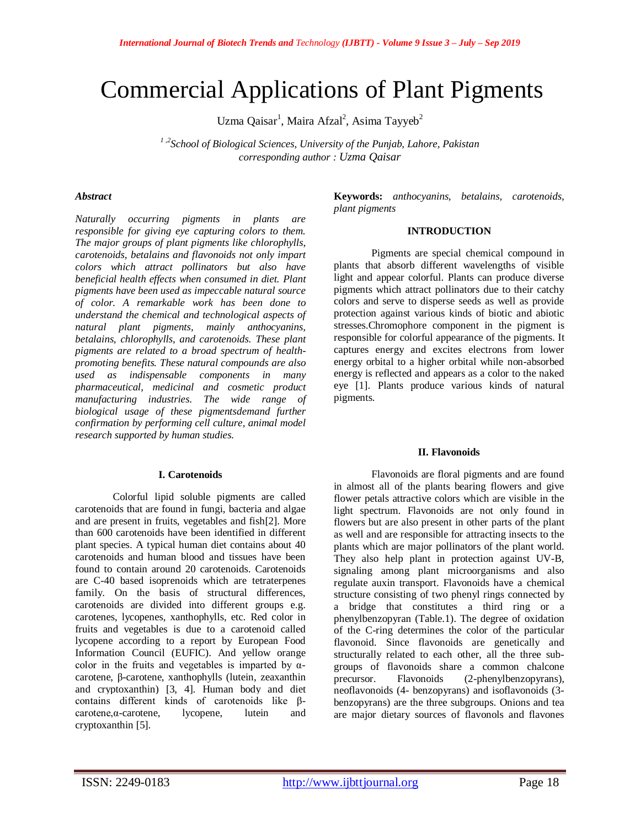# Commercial Applications of Plant Pigments

Uzma Qaisar<sup>1</sup>, Maira Afzal<sup>2</sup>, Asima Tayyeb<sup>2</sup>

*1 ,2School of Biological Sciences, University of the Punjab, Lahore, Pakistan corresponding author : Uzma Qaisar*

## *Abstract*

*Naturally occurring pigments in plants are responsible for giving eye capturing colors to them. The major groups of plant pigments like chlorophylls, carotenoids, betalains and flavonoids not only impart colors which attract pollinators but also have beneficial health effects when consumed in diet. Plant pigments have been used as impeccable natural source of color. A remarkable work has been done to understand the chemical and technological aspects of natural plant pigments, mainly anthocyanins, betalains, chlorophylls, and carotenoids. These plant pigments are related to a broad spectrum of healthpromoting benefits. These natural compounds are also used as indispensable components in many pharmaceutical, medicinal and cosmetic product manufacturing industries. The wide range of biological usage of these pigmentsdemand further confirmation by performing cell culture, animal model research supported by human studies.*

## **I. Carotenoids**

Colorful lipid soluble pigments are called carotenoids that are found in fungi, bacteria and algae and are present in fruits, vegetables and fish[2]. More than 600 carotenoids have been identified in different plant species. A typical human diet contains about 40 carotenoids and human blood and tissues have been found to contain around 20 carotenoids. Carotenoids are C-40 based isoprenoids which are tetraterpenes family. On the basis of structural differences, carotenoids are divided into different groups e.g. carotenes, lycopenes, xanthophylls, etc. Red color in fruits and vegetables is due to a carotenoid called lycopene according to a report by European Food Information Council (EUFIC). And yellow orange color in the fruits and vegetables is imparted by  $\alpha$ carotene, β-carotene, xanthophylls (lutein, zeaxanthin and cryptoxanthin) [3, 4]. Human body and diet contains different kinds of carotenoids like βcarotene,α-carotene, lycopene, lutein and cryptoxanthin [5].

**Keywords:** *anthocyanins, betalains, carotenoids, plant pigments*

## **INTRODUCTION**

Pigments are special chemical compound in plants that absorb different wavelengths of visible light and appear colorful. Plants can produce diverse pigments which attract pollinators due to their catchy colors and serve to disperse seeds as well as provide protection against various kinds of biotic and abiotic stresses.Chromophore component in the pigment is responsible for colorful appearance of the pigments. It captures energy and excites electrons from lower energy orbital to a higher orbital while non-absorbed energy is reflected and appears as a color to the naked eye [1]. Plants produce various kinds of natural pigments.

## **II. Flavonoids**

Flavonoids are floral pigments and are found in almost all of the plants bearing flowers and give flower petals attractive colors which are visible in the light spectrum. Flavonoids are not only found in flowers but are also present in other parts of the plant as well and are responsible for attracting insects to the plants which are major pollinators of the plant world. They also help plant in protection against UV-B, signaling among plant microorganisms and also regulate auxin transport. Flavonoids have a chemical structure consisting of two phenyl rings connected by a bridge that constitutes a third ring or a phenylbenzopyran (Table.1). The degree of oxidation of the C-ring determines the color of the particular flavonoid. Since flavonoids are genetically and structurally related to each other, all the three subgroups of flavonoids share a common chalcone precursor. Flavonoids (2-phenylbenzopyrans), neoflavonoids (4- benzopyrans) and isoflavonoids (3 benzopyrans) are the three subgroups. Onions and tea are major dietary sources of flavonols and flavones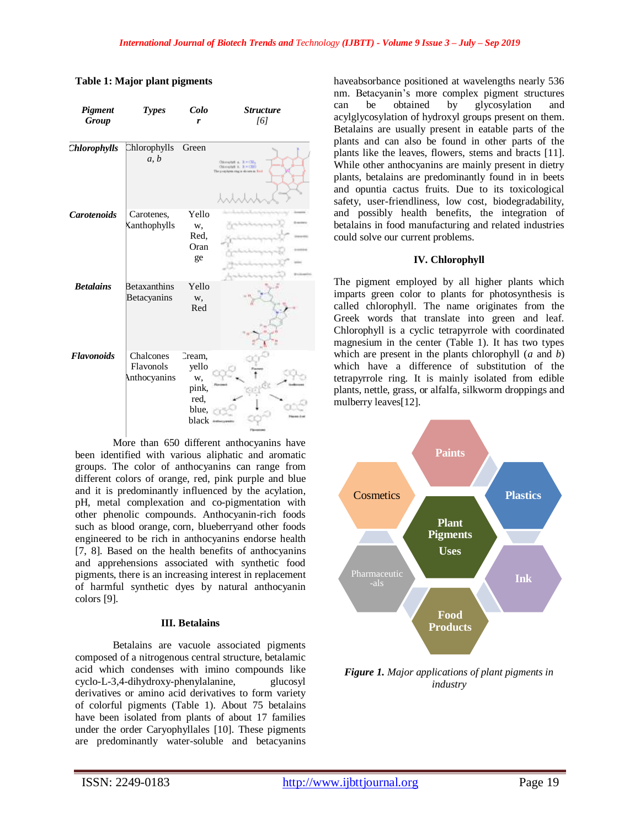| Pigment<br>Group   | <b>Types</b>                           | Colo<br>r                                                | <b>Structure</b><br>[6]                                                                 |
|--------------------|----------------------------------------|----------------------------------------------------------|-----------------------------------------------------------------------------------------|
| Chlorophylls       | Chlorophylls<br>a, b                   | Green                                                    | Chicaghat a. 3. - Cil.,<br>Chicoghat E. J. = CEO<br>The parplypin ring is shown in Bank |
| <b>Carotenoids</b> | Carotenes,<br>Kanthophylls             | Yello<br>w,<br>Red.<br>Oran<br>ge                        |                                                                                         |
| <b>Betalains</b>   | <b>Betaxanthins</b><br>Betacyanins     | Yello<br>w,<br>Red                                       |                                                                                         |
| <b>Flavonoids</b>  | Chalcones<br>Flavonols<br>Anthocyanins | Cream,<br>yello<br>w,<br>pink,<br>red.<br>blue,<br>black |                                                                                         |

# **Table 1: Major plant pigments**

More than 650 different anthocyanins have been identified with various aliphatic and aromatic groups. The color of anthocyanins can range from different colors of orange, red, pink purple and blue and it is predominantly influenced by the acylation, pH, metal complexation and co-pigmentation with other phenolic compounds. Anthocyanin-rich foods such as blood orange, corn, blueberryand other foods engineered to be rich in anthocyanins endorse health [7, 8]. Based on the health benefits of anthocyanins and apprehensions associated with synthetic food pigments, there is an increasing interest in replacement of harmful synthetic dyes by natural anthocyanin colors [9].

## **III. Betalains**

Betalains are vacuole associated pigments composed of a nitrogenous central structure, betalamic acid which condenses with imino compounds like cyclo-L-3,4-dihydroxy-phenylalanine, glucosyl derivatives or amino acid derivatives to form variety of colorful pigments (Table 1). About 75 betalains have been isolated from plants of about 17 families under the order Caryophyllales [10]. These pigments are predominantly water-soluble and betacyanins haveabsorbance positioned at wavelengths nearly 536 nm. Betacyanin's more complex pigment structures can be obtained by glycosylation and acylglycosylation of hydroxyl groups present on them. Betalains are usually present in eatable parts of the plants and can also be found in other parts of the plants like the leaves, flowers, stems and bracts [11]. While other anthocyanins are mainly present in dietry plants, betalains are predominantly found in in beets and opuntia cactus fruits. Due to its toxicological safety, user-friendliness, low cost, biodegradability, and possibly health benefits, the integration of betalains in food manufacturing and related industries could solve our current problems.

# **IV. Chlorophyll**

The pigment employed by all higher plants which imparts green color to plants for photosynthesis is called chlorophyll. The name originates from the Greek words that translate into green and leaf. Chlorophyll is a cyclic tetrapyrrole with coordinated magnesium in the center (Table 1). It has two types which are present in the plants chlorophyll (*a* and *b*) which have a difference of substitution of the tetrapyrrole ring. It is mainly isolated from edible plants, nettle, grass, or alfalfa, silkworm droppings and mulberry leaves[12].



*Figure 1. Major applications of plant pigments in industry*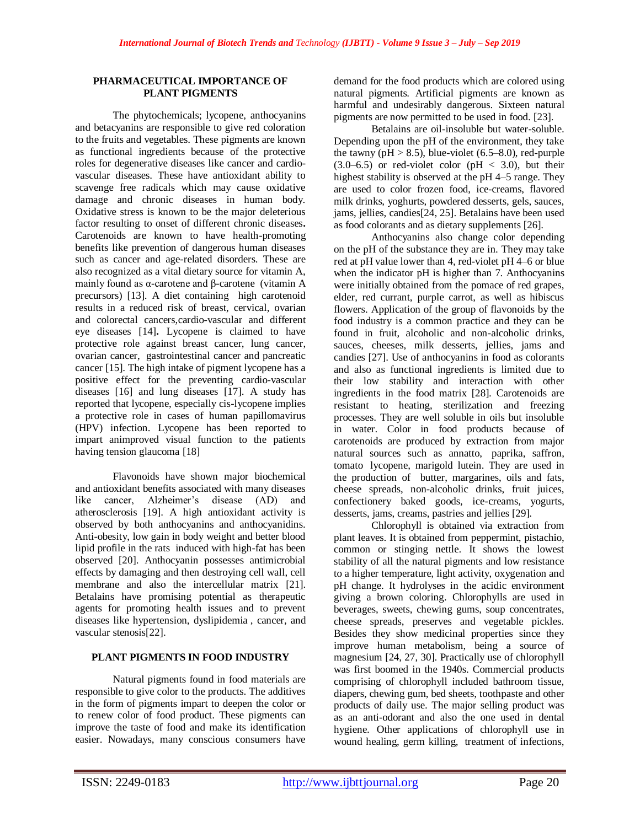## **PHARMACEUTICAL IMPORTANCE OF PLANT PIGMENTS**

The phytochemicals; lycopene, anthocyanins and betacyanins are responsible to give red coloration to the fruits and vegetables. These pigments are known as functional ingredients because of the protective roles for degenerative diseases like cancer and cardiovascular diseases. These have antioxidant ability to scavenge free radicals which may cause oxidative damage and chronic diseases in human body. Oxidative stress is known to be the major deleterious factor resulting to onset of different chronic diseases**.**  Carotenoids are known to have health-promoting benefits like prevention of dangerous human diseases such as cancer and age-related disorders. These are also recognized as a vital dietary source for vitamin A, mainly found as α-carotene and β-carotene. (vitamin A precursors) [13]. A diet containing high carotenoid results in a reduced risk of breast, cervical, ovarian and colorectal cancers,cardio-vascular and different eye diseases [14]**.** Lycopene is claimed to have protective role against breast cancer, lung cancer, ovarian cancer, gastrointestinal cancer and pancreatic cancer [15]. The high intake of pigment lycopene has a positive effect for the preventing cardio-vascular diseases [16] and lung diseases [17]. A study has reported that lycopene, especially cis-lycopene implies a protective role in cases of human papillomavirus (HPV) infection. Lycopene has been reported to impart animproved visual function to the patients having tension glaucoma [18]

Flavonoids have shown major biochemical and antioxidant benefits associated with many diseases like cancer, Alzheimer's disease (AD) and atherosclerosis [19]. A high antioxidant activity is observed by both anthocyanins and anthocyanidins. Anti-obesity, low gain in body weight and better blood lipid profile in the rats induced with high-fat has been observed [20]. Anthocyanin possesses antimicrobial effects by damaging and then destroying cell wall, cell membrane and also the intercellular matrix [21]. Betalains have promising potential as therapeutic agents for promoting health issues and to prevent diseases like hypertension, dyslipidemia., cancer, and vascular stenosis[22].

# **PLANT PIGMENTS IN FOOD INDUSTRY**

Natural pigments found in food materials are responsible to give color to the products. The additives in the form of pigments impart to deepen the color or to renew color of food product. These pigments can improve the taste of food and make its identification easier. Nowadays, many conscious consumers have demand for the food products which are colored using natural pigments. Artificial pigments are known as harmful and undesirably dangerous. Sixteen natural pigments are now permitted to be used in food. [23].

Betalains are oil-insoluble but water-soluble. Depending upon the pH of the environment, they take the tawny ( $pH > 8.5$ ), blue-violet (6.5–8.0), red-purple  $(3.0-6.5)$  or red-violet color (pH < 3.0), but their highest stability is observed at the pH 4–5 range. They are used to color frozen food, ice-creams, flavored milk drinks, yoghurts, powdered desserts, gels, sauces, jams, jellies, candies[24, 25]. Betalains have been used as food colorants and as dietary supplements [26].

Anthocyanins also change color depending on the pH of the substance they are in. They may take red at pH value lower than 4, red-violet pH 4–6 or blue when the indicator pH is higher than 7. Anthocyanins were initially obtained from the pomace of red grapes, elder, red currant, purple carrot, as well as hibiscus flowers. Application of the group of flavonoids by the food industry is a common practice and they can be found in fruit, alcoholic and non-alcoholic drinks, sauces, cheeses, milk desserts, jellies, jams and candies [27]. Use of anthocyanins in food as colorants and also as functional ingredients is limited due to their low stability and interaction with other ingredients in the food matrix [28]. Carotenoids are resistant to heating, sterilization and freezing processes. They are well soluble in oils but insoluble in water. Color in food products because of carotenoids are produced by extraction from major natural sources such as annatto, paprika, saffron, tomato lycopene, marigold lutein. They are used in the production of butter, margarines, oils and fats, cheese spreads, non-alcoholic drinks, fruit juices, confectionery baked goods, ice-creams, yogurts, desserts, jams, creams, pastries and jellies [29].

Chlorophyll is obtained via extraction from plant leaves. It is obtained from peppermint, pistachio, common or stinging nettle. It shows the lowest stability of all the natural pigments and low resistance to a higher temperature, light activity, oxygenation and pH change. It hydrolyses in the acidic environment giving a brown coloring. Chlorophylls are used in beverages, sweets, chewing gums, soup concentrates, cheese spreads, preserves and vegetable pickles. Besides they show medicinal properties since they improve human metabolism, being a source of magnesium [24, 27, 30]. Practically use of chlorophyll was first boomed in the 1940s. Commercial products comprising of chlorophyll included bathroom tissue, diapers, chewing gum, bed sheets, toothpaste and other products of daily use. The major selling product was as an anti-odorant and also the one used in dental hygiene. Other applications of chlorophyll use in wound healing, germ killing, treatment of infections,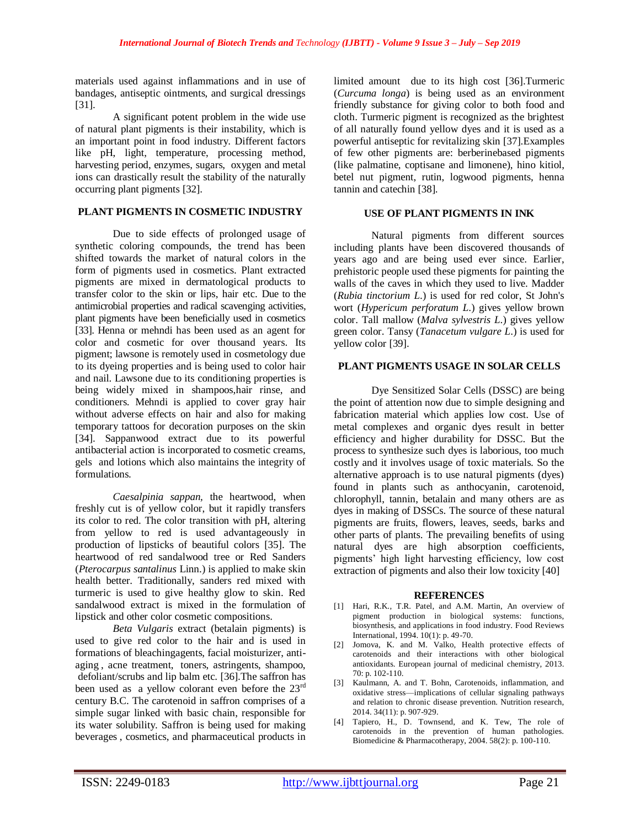materials used against inflammations and in use of bandages, antiseptic ointments, and surgical dressings [31].

A significant potent problem in the wide use of natural plant pigments is their instability, which is an important point in food industry. Different factors like pH, light, temperature, processing method, harvesting period, enzymes, sugars, oxygen and metal ions can drastically result the stability of the naturally occurring plant pigments [32].

## **PLANT PIGMENTS IN COSMETIC INDUSTRY**

Due to side effects of prolonged usage of synthetic coloring compounds, the trend has been shifted towards the market of natural colors in the form of pigments used in cosmetics. Plant extracted pigments are mixed in dermatological products to transfer color to the skin or lips, hair etc. Due to the antimicrobial properties and radical scavenging activities, plant pigments have been beneficially used in cosmetics [33]. Henna or mehndi has been used as an agent for color and cosmetic for over thousand years. Its pigment; lawsone is remotely used in cosmetology due to its dyeing properties and is being used to color hair and nail. Lawsone due to its conditioning properties is being widely mixed in shampoos,hair rinse, and conditioners. Mehndi is applied to cover gray hair without adverse effects on hair and also for making temporary tattoos for decoration purposes on the skin [34]. Sappanwood extract due to its powerful antibacterial action is incorporated to cosmetic creams, gels' and lotions which also maintains the integrity of formulations.

*Caesalpinia sappan,* the heartwood, when freshly cut is of yellow color, but it rapidly transfers its color to red. The color transition with pH, altering from yellow to red is used advantageously in production of lipsticks of beautiful colors [35]. The heartwood of red sandalwood tree or Red Sanders (*Pterocarpus santalinus* Linn.) is applied to make skin health better. Traditionally, sanders red mixed with turmeric is used to give healthy glow to skin. Red sandalwood extract is mixed in the formulation of lipstick and other color cosmetic compositions.

*Beta Vulgaris* extract (betalain pigments) is used to give red color to the hair and is used in formations of bleachingagents, facial moisturizer, antiaging, acne treatment, toners, astringents, shampoo, defoliant/scrubs and lip balm etc. [36]. The saffron has been used as a yellow colorant even before the 23<sup>rd</sup> century B.C. The carotenoid in saffron comprises of a simple sugar linked with basic chain, responsible for its water solubility. Saffron is being used for making beverages., cosmetics, and pharmaceutical products in limited amount due to its high cost [36].Turmeric (*Curcuma longa*) is being used as an environment friendly substance for giving color to both food and cloth. Turmeric pigment is recognized as the brightest of all naturally found yellow dyes and it is used as a powerful antiseptic for revitalizing skin [37].Examples of few other pigments are: berberinebased pigments (like palmatine, coptisane and limonene), hino kitiol, betel nut pigment, rutin, logwood pigments, henna tannin and catechin [38].

## **USE OF PLANT PIGMENTS IN INK**

Natural pigments from different sources including plants have been discovered thousands of years ago and are being used ever since. Earlier, prehistoric people used these pigments for painting the walls of the caves in which they used to live. Madder (*Rubia tinctorium L*.) is used for red color, St John's wort (*Hypericum perforatum L*.) gives yellow brown color. Tall mallow (*Malva sylvestris L*.) gives yellow green color. Tansy (*Tanacetum vulgare L*.) is used for yellow color [39].

## **PLANT PIGMENTS USAGE IN SOLAR CELLS**

Dye Sensitized Solar Cells (DSSC) are being the point of attention now due to simple designing and fabrication material which applies low cost. Use of metal complexes and organic dyes result in better efficiency and higher durability for DSSC. But the process to synthesize such dyes is laborious, too much costly and it involves usage of toxic materials. So the alternative approach is to use natural pigments (dyes) found in plants such as anthocyanin, carotenoid, chlorophyll, tannin, betalain and many others are as dyes in making of DSSCs. The source of these natural pigments are fruits, flowers, leaves, seeds, barks and other parts of plants. The prevailing benefits of using natural dyes are high absorption coefficients, pigments' high light harvesting efficiency, low cost extraction of pigments and also their low toxicity [40]

## **REFERENCES**

- [1] Hari, R.K., T.R. Patel, and A.M. Martin, An overview of pigment production in biological systems: functions, biosynthesis, and applications in food industry. Food Reviews International, 1994. 10(1): p. 49-70.
- [2] Jomova, K. and M. Valko, Health protective effects of carotenoids and their interactions with other biological antioxidants. European journal of medicinal chemistry, 2013. 70: p. 102-110.
- [3] Kaulmann, A. and T. Bohn, Carotenoids, inflammation, and oxidative stress—implications of cellular signaling pathways and relation to chronic disease prevention. Nutrition research, 2014. 34(11): p. 907-929.
- [4] Tapiero, H., D. Townsend, and K. Tew, The role of carotenoids in the prevention of human pathologies. Biomedicine & Pharmacotherapy, 2004. 58(2): p. 100-110.